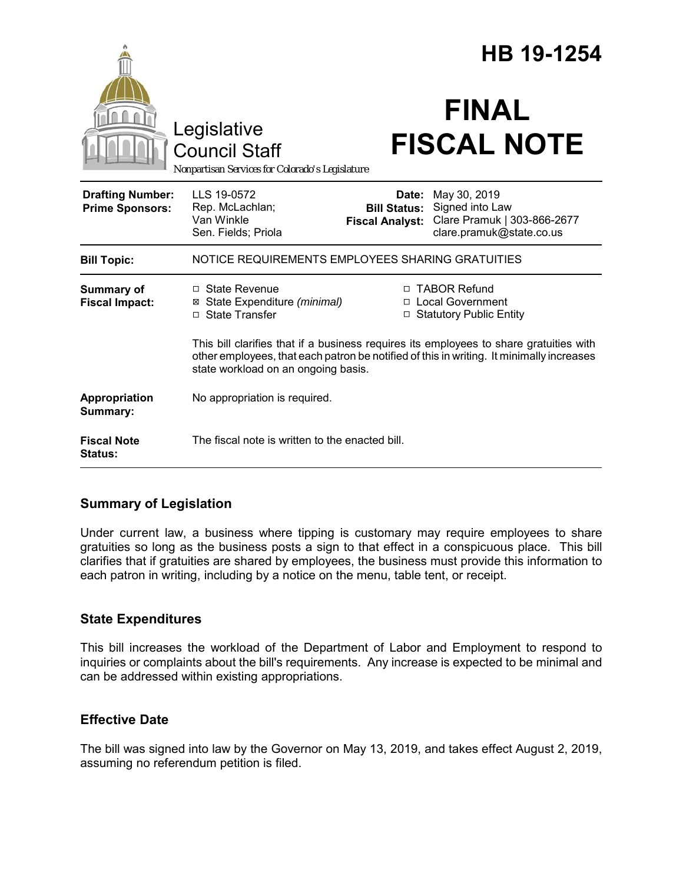|                                                   |                                                                                                                                                                                                                           |                                                        | HB 19-1254                                                                                 |
|---------------------------------------------------|---------------------------------------------------------------------------------------------------------------------------------------------------------------------------------------------------------------------------|--------------------------------------------------------|--------------------------------------------------------------------------------------------|
|                                                   | Legislative<br><b>Council Staff</b><br>Nonpartisan Services for Colorado's Legislature                                                                                                                                    |                                                        | <b>FINAL</b><br><b>FISCAL NOTE</b>                                                         |
| <b>Drafting Number:</b><br><b>Prime Sponsors:</b> | LLS 19-0572<br>Rep. McLachlan;<br>Van Winkle<br>Sen. Fields; Priola                                                                                                                                                       | Date:<br><b>Bill Status:</b><br><b>Fiscal Analyst:</b> | May 30, 2019<br>Signed into Law<br>Clare Pramuk   303-866-2677<br>clare.pramuk@state.co.us |
| <b>Bill Topic:</b>                                | NOTICE REQUIREMENTS EMPLOYEES SHARING GRATUITIES                                                                                                                                                                          |                                                        |                                                                                            |
| <b>Summary of</b><br><b>Fiscal Impact:</b>        | $\Box$ State Revenue<br>⊠ State Expenditure (minimal)<br>□ State Transfer                                                                                                                                                 |                                                        | □ TABOR Refund<br>□ Local Government<br>□ Statutory Public Entity                          |
|                                                   | This bill clarifies that if a business requires its employees to share gratuities with<br>other employees, that each patron be notified of this in writing. It minimally increases<br>state workload on an ongoing basis. |                                                        |                                                                                            |
| Appropriation<br>Summary:                         | No appropriation is required.                                                                                                                                                                                             |                                                        |                                                                                            |
| <b>Fiscal Note</b><br><b>Status:</b>              | The fiscal note is written to the enacted bill.                                                                                                                                                                           |                                                        |                                                                                            |

### **Summary of Legislation**

Under current law, a business where tipping is customary may require employees to share gratuities so long as the business posts a sign to that effect in a conspicuous place. This bill clarifies that if gratuities are shared by employees, the business must provide this information to each patron in writing, including by a notice on the menu, table tent, or receipt.

### **State Expenditures**

This bill increases the workload of the Department of Labor and Employment to respond to inquiries or complaints about the bill's requirements. Any increase is expected to be minimal and can be addressed within existing appropriations.

### **Effective Date**

The bill was signed into law by the Governor on May 13, 2019, and takes effect August 2, 2019, assuming no referendum petition is filed.